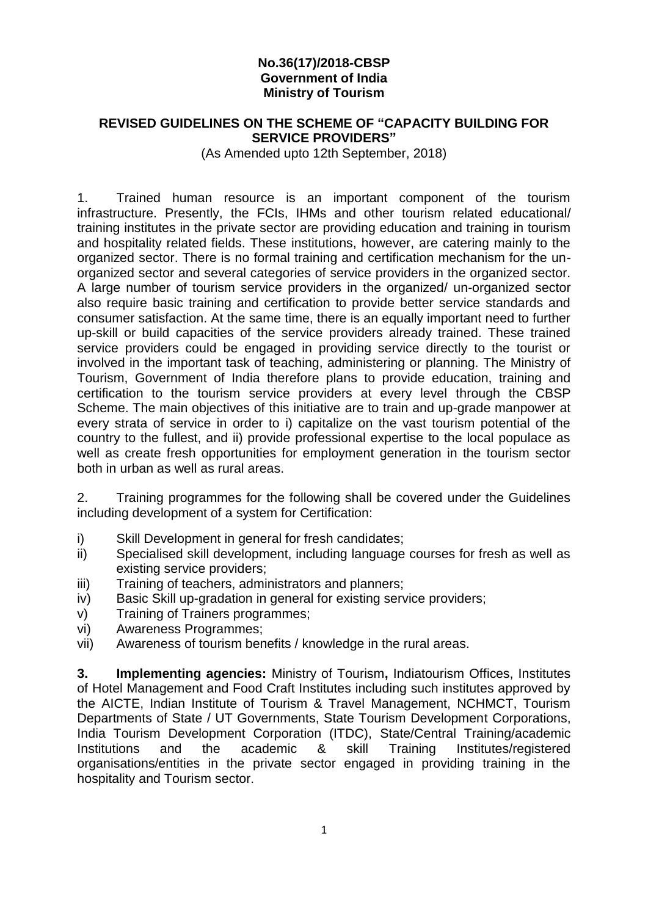## **No.36(17)/2018-CBSP Government of India Ministry of Tourism**

### **REVISED GUIDELINES ON THE SCHEME OF "CAPACITY BUILDING FOR SERVICE PROVIDERS"**

(As Amended upto 12th September, 2018)

1. Trained human resource is an important component of the tourism infrastructure. Presently, the FCIs, IHMs and other tourism related educational/ training institutes in the private sector are providing education and training in tourism and hospitality related fields. These institutions, however, are catering mainly to the organized sector. There is no formal training and certification mechanism for the unorganized sector and several categories of service providers in the organized sector. A large number of tourism service providers in the organized/ un-organized sector also require basic training and certification to provide better service standards and consumer satisfaction. At the same time, there is an equally important need to further up-skill or build capacities of the service providers already trained. These trained service providers could be engaged in providing service directly to the tourist or involved in the important task of teaching, administering or planning. The Ministry of Tourism, Government of India therefore plans to provide education, training and certification to the tourism service providers at every level through the CBSP Scheme. The main objectives of this initiative are to train and up-grade manpower at every strata of service in order to i) capitalize on the vast tourism potential of the country to the fullest, and ii) provide professional expertise to the local populace as well as create fresh opportunities for employment generation in the tourism sector both in urban as well as rural areas.

2. Training programmes for the following shall be covered under the Guidelines including development of a system for Certification:

- i) Skill Development in general for fresh candidates;
- ii) Specialised skill development, including language courses for fresh as well as existing service providers;
- iii) Training of teachers, administrators and planners;
- iv) Basic Skill up-gradation in general for existing service providers;
- v) Training of Trainers programmes;
- vi) Awareness Programmes;
- vii) Awareness of tourism benefits / knowledge in the rural areas.

**3. Implementing agencies:** Ministry of Tourism**,** Indiatourism Offices, Institutes of Hotel Management and Food Craft Institutes including such institutes approved by the AICTE, Indian Institute of Tourism & Travel Management, NCHMCT, Tourism Departments of State / UT Governments, State Tourism Development Corporations, India Tourism Development Corporation (ITDC), State/Central Training/academic Institutions and the academic & skill Training Institutes/registered organisations/entities in the private sector engaged in providing training in the hospitality and Tourism sector.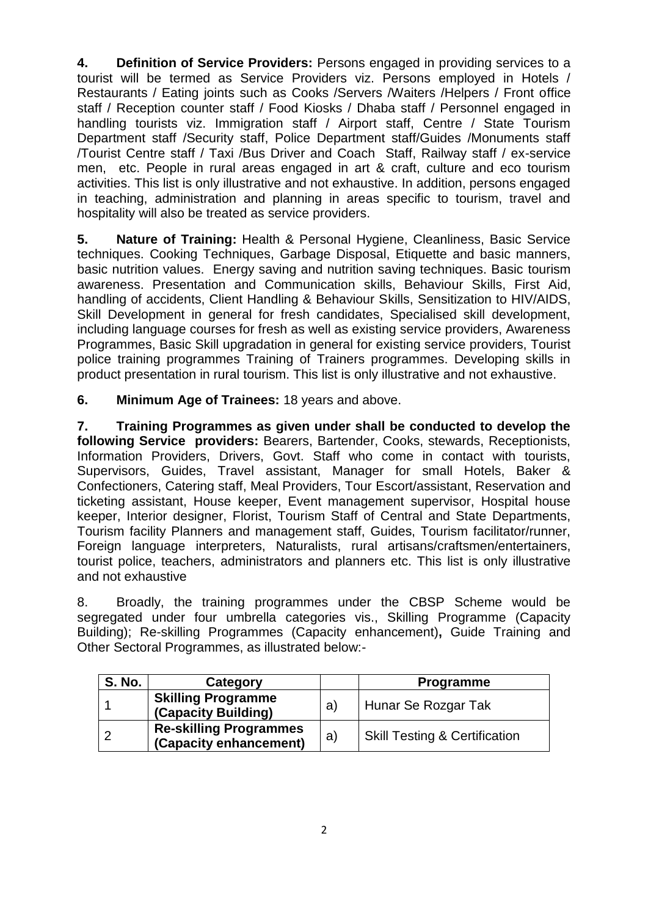**4. Definition of Service Providers:** Persons engaged in providing services to a tourist will be termed as Service Providers viz. Persons employed in Hotels / Restaurants / Eating joints such as Cooks /Servers /Waiters /Helpers / Front office staff / Reception counter staff / Food Kiosks / Dhaba staff / Personnel engaged in handling tourists viz. Immigration staff / Airport staff, Centre / State Tourism Department staff /Security staff, Police Department staff/Guides /Monuments staff /Tourist Centre staff / Taxi /Bus Driver and Coach Staff, Railway staff / ex-service men, etc. People in rural areas engaged in art & craft, culture and eco tourism activities. This list is only illustrative and not exhaustive. In addition, persons engaged in teaching, administration and planning in areas specific to tourism, travel and hospitality will also be treated as service providers.

**5. Nature of Training:** Health & Personal Hygiene, Cleanliness, Basic Service techniques. Cooking Techniques, Garbage Disposal, Etiquette and basic manners, basic nutrition values. Energy saving and nutrition saving techniques. Basic tourism awareness. Presentation and Communication skills, Behaviour Skills, First Aid, handling of accidents, Client Handling & Behaviour Skills, Sensitization to HIV/AIDS, Skill Development in general for fresh candidates, Specialised skill development, including language courses for fresh as well as existing service providers, Awareness Programmes, Basic Skill upgradation in general for existing service providers, Tourist police training programmes Training of Trainers programmes. Developing skills in product presentation in rural tourism. This list is only illustrative and not exhaustive.

**6. Minimum Age of Trainees:** 18 years and above.

**7. Training Programmes as given under shall be conducted to develop the following Service providers:** Bearers, Bartender, Cooks, stewards, Receptionists, Information Providers, Drivers, Govt. Staff who come in contact with tourists, Supervisors, Guides, Travel assistant, Manager for small Hotels, Baker & Confectioners, Catering staff, Meal Providers, Tour Escort/assistant, Reservation and ticketing assistant, House keeper, Event management supervisor, Hospital house keeper, Interior designer, Florist, Tourism Staff of Central and State Departments, Tourism facility Planners and management staff, Guides, Tourism facilitator/runner, Foreign language interpreters, Naturalists, rural artisans/craftsmen/entertainers, tourist police, teachers, administrators and planners etc. This list is only illustrative and not exhaustive

8. Broadly, the training programmes under the CBSP Scheme would be segregated under four umbrella categories vis., Skilling Programme (Capacity Building); Re-skilling Programmes (Capacity enhancement)**,** Guide Training and Other Sectoral Programmes, as illustrated below:-

| <b>S. No.</b> | Category                                                |    | <b>Programme</b>                         |
|---------------|---------------------------------------------------------|----|------------------------------------------|
|               | <b>Skilling Programme</b><br>(Capacity Building)        | a) | Hunar Se Rozgar Tak                      |
|               | <b>Re-skilling Programmes</b><br>(Capacity enhancement) | a) | <b>Skill Testing &amp; Certification</b> |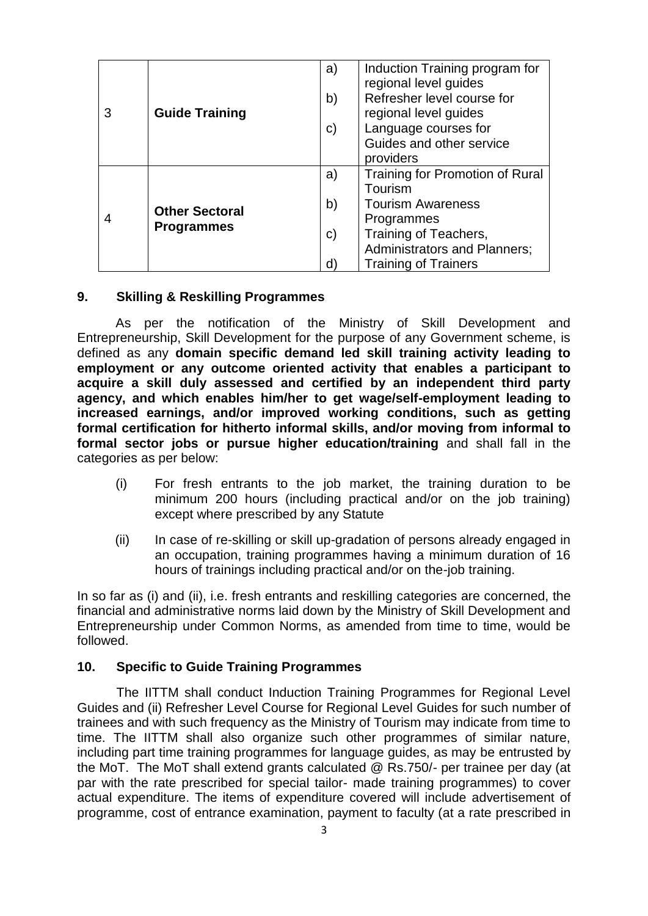|  | <b>Guide Training</b>                      | a) | Induction Training program for      |
|--|--------------------------------------------|----|-------------------------------------|
|  |                                            |    | regional level guides               |
|  |                                            | b) | Refresher level course for          |
|  |                                            |    | regional level guides               |
|  |                                            | C) | Language courses for                |
|  |                                            |    | Guides and other service            |
|  |                                            |    | providers                           |
|  | <b>Other Sectoral</b><br><b>Programmes</b> | a) | Training for Promotion of Rural     |
|  |                                            |    | Tourism                             |
|  |                                            | b) | <b>Tourism Awareness</b>            |
|  |                                            |    | Programmes                          |
|  |                                            | C) | Training of Teachers,               |
|  |                                            |    | <b>Administrators and Planners;</b> |
|  |                                            | ď  | <b>Training of Trainers</b>         |

#### **9. Skilling & Reskilling Programmes**

As per the notification of the Ministry of Skill Development and Entrepreneurship, Skill Development for the purpose of any Government scheme, is defined as any **domain specific demand led skill training activity leading to employment or any outcome oriented activity that enables a participant to acquire a skill duly assessed and certified by an independent third party agency, and which enables him/her to get wage/self-employment leading to increased earnings, and/or improved working conditions, such as getting formal certification for hitherto informal skills, and/or moving from informal to formal sector jobs or pursue higher education/training** and shall fall in the categories as per below:

- (i) For fresh entrants to the job market, the training duration to be minimum 200 hours (including practical and/or on the job training) except where prescribed by any Statute
- (ii) In case of re-skilling or skill up-gradation of persons already engaged in an occupation, training programmes having a minimum duration of 16 hours of trainings including practical and/or on the-job training.

In so far as (i) and (ii), i.e. fresh entrants and reskilling categories are concerned, the financial and administrative norms laid down by the Ministry of Skill Development and Entrepreneurship under Common Norms, as amended from time to time, would be followed.

#### **10. Specific to Guide Training Programmes**

The IITTM shall conduct Induction Training Programmes for Regional Level Guides and (ii) Refresher Level Course for Regional Level Guides for such number of trainees and with such frequency as the Ministry of Tourism may indicate from time to time. The IITTM shall also organize such other programmes of similar nature, including part time training programmes for language guides, as may be entrusted by the MoT. The MoT shall extend grants calculated @ Rs.750/- per trainee per day (at par with the rate prescribed for special tailor- made training programmes) to cover actual expenditure. The items of expenditure covered will include advertisement of programme, cost of entrance examination, payment to faculty (at a rate prescribed in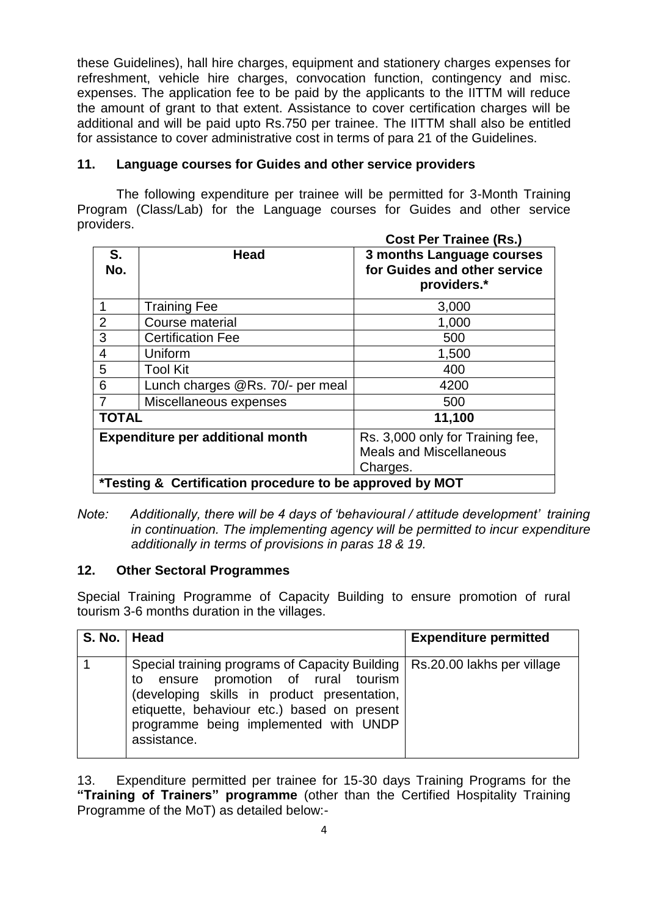these Guidelines), hall hire charges, equipment and stationery charges expenses for refreshment, vehicle hire charges, convocation function, contingency and misc. expenses. The application fee to be paid by the applicants to the IITTM will reduce the amount of grant to that extent. Assistance to cover certification charges will be additional and will be paid upto Rs.750 per trainee. The IITTM shall also be entitled for assistance to cover administrative cost in terms of para 21 of the Guidelines.

# **11. Language courses for Guides and other service providers**

The following expenditure per trainee will be permitted for 3-Month Training Program (Class/Lab) for the Language courses for Guides and other service providers.

|                                                          |                                         | <b>Cost Per Trainee (Rs.)</b>                                                  |
|----------------------------------------------------------|-----------------------------------------|--------------------------------------------------------------------------------|
| S.<br>No.                                                | <b>Head</b>                             | 3 months Language courses<br>for Guides and other service<br>providers.*       |
|                                                          | <b>Training Fee</b>                     | 3,000                                                                          |
| $\overline{2}$                                           | Course material                         | 1,000                                                                          |
| 3                                                        | <b>Certification Fee</b>                | 500                                                                            |
| 4                                                        | Uniform                                 | 1,500                                                                          |
| 5                                                        | <b>Tool Kit</b>                         | 400                                                                            |
| 6                                                        | Lunch charges @Rs. 70/- per meal        | 4200                                                                           |
|                                                          | Miscellaneous expenses                  | 500                                                                            |
| <b>TOTAL</b><br>11,100                                   |                                         |                                                                                |
|                                                          | <b>Expenditure per additional month</b> | Rs. 3,000 only for Training fee,<br><b>Meals and Miscellaneous</b><br>Charges. |
| *Testing & Certification procedure to be approved by MOT |                                         |                                                                                |

*Note: Additionally, there will be 4 days of 'behavioural / attitude development' training in continuation. The implementing agency will be permitted to incur expenditure additionally in terms of provisions in paras 18 & 19.* 

## **12. Other Sectoral Programmes**

Special Training Programme of Capacity Building to ensure promotion of rural tourism 3-6 months duration in the villages.

| S. No.   Head |                                                                                                                                                                                                                                                                            | <b>Expenditure permitted</b> |
|---------------|----------------------------------------------------------------------------------------------------------------------------------------------------------------------------------------------------------------------------------------------------------------------------|------------------------------|
|               | Special training programs of Capacity Building   Rs. 20.00 lakhs per village<br>to ensure promotion of rural tourism<br>(developing skills in product presentation,<br>etiquette, behaviour etc.) based on present<br>programme being implemented with UNDP<br>assistance. |                              |

13. Expenditure permitted per trainee for 15-30 days Training Programs for the **"Training of Trainers" programme** (other than the Certified Hospitality Training Programme of the MoT) as detailed below:-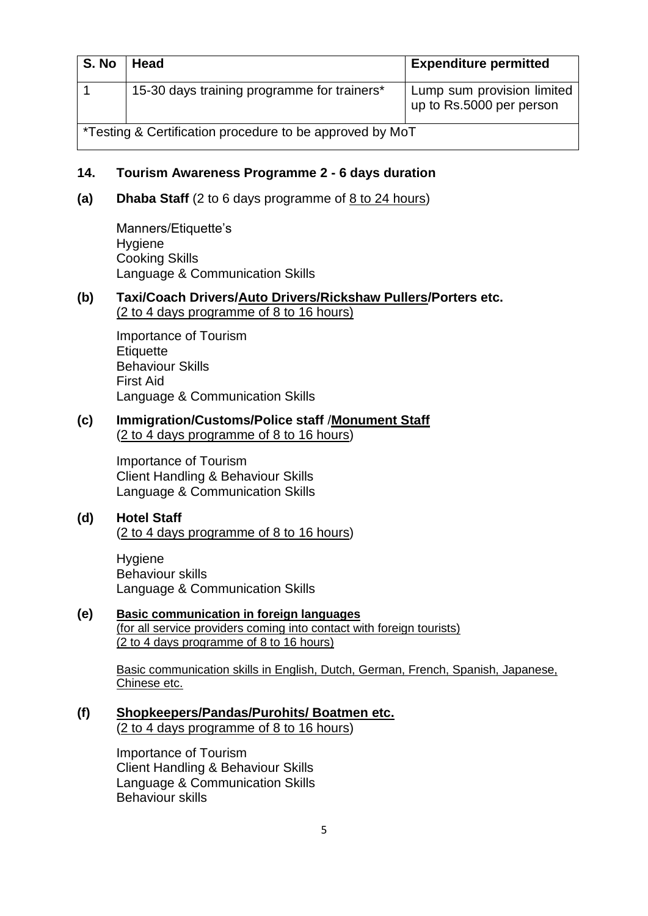| S. No                                                    | Head                                        | <b>Expenditure permitted</b>                           |
|----------------------------------------------------------|---------------------------------------------|--------------------------------------------------------|
|                                                          | 15-30 days training programme for trainers* | Lump sum provision limited<br>up to Rs.5000 per person |
| *Testing & Certification procedure to be approved by MoT |                                             |                                                        |

### **14. Tourism Awareness Programme 2 - 6 days duration**

**(a) Dhaba Staff** (2 to 6 days programme of 8 to 24 hours)

Manners/Etiquette's Hygiene Cooking Skills Language & Communication Skills

#### **(b) Taxi/Coach Drivers/Auto Drivers/Rickshaw Pullers/Porters etc.**  (2 to 4 days programme of 8 to 16 hours)

Importance of Tourism **Etiquette** Behaviour Skills First Aid Language & Communication Skills

### **(c) Immigration/Customs/Police staff** /**Monument Staff** (2 to 4 days programme of 8 to 16 hours)

Importance of Tourism Client Handling & Behaviour Skills Language & Communication Skills

# **(d) Hotel Staff**

(2 to 4 days programme of 8 to 16 hours)

Hygiene Behaviour skills Language & Communication Skills

#### **(e) Basic communication in foreign languages**  (for all service providers coming into contact with foreign tourists) (2 to 4 days programme of 8 to 16 hours)

Basic communication skills in English, Dutch, German, French, Spanish, Japanese, Chinese etc.

**(f) Shopkeepers/Pandas/Purohits/ Boatmen etc.** (2 to 4 days programme of 8 to 16 hours)

> Importance of Tourism Client Handling & Behaviour Skills Language & Communication Skills Behaviour skills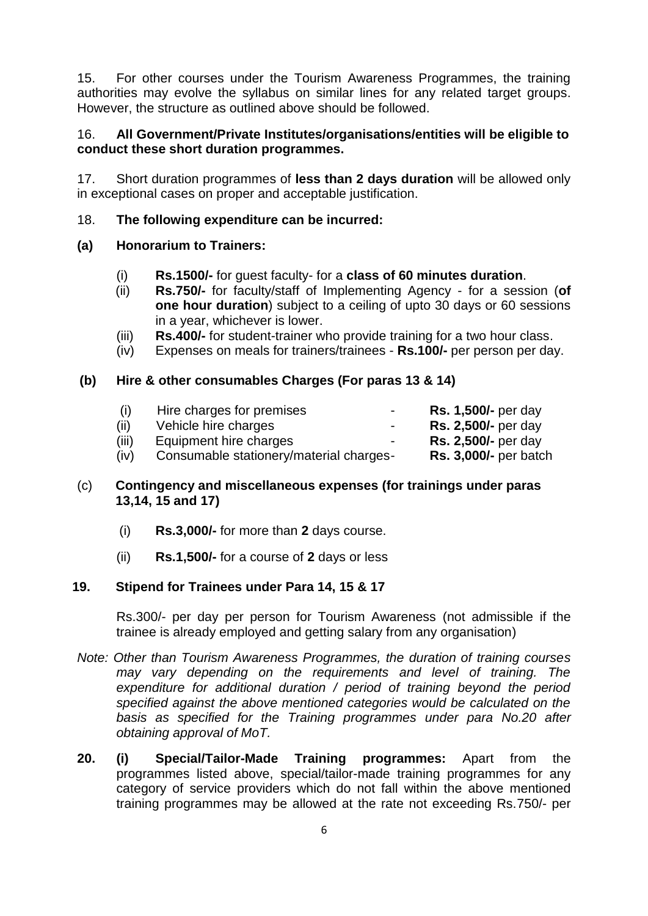15. For other courses under the Tourism Awareness Programmes, the training authorities may evolve the syllabus on similar lines for any related target groups. However, the structure as outlined above should be followed.

## 16. **All Government/Private Institutes/organisations/entities will be eligible to conduct these short duration programmes.**

17. Short duration programmes of **less than 2 days duration** will be allowed only in exceptional cases on proper and acceptable justification.

### 18. **The following expenditure can be incurred:**

### **(a) Honorarium to Trainers:**

- (i) **Rs.1500/-** for guest faculty- for a **class of 60 minutes duration**.
- (ii) **Rs.750/-** for faculty/staff of Implementing Agency for a session (**of one hour duration**) subject to a ceiling of upto 30 days or 60 sessions in a year, whichever is lower.
- (iii) **Rs.400/-** for student-trainer who provide training for a two hour class.
- (iv) Expenses on meals for trainers/trainees **Rs.100/-** per person per day.

### **(b) Hire & other consumables Charges (For paras 13 & 14)**

| (1)   | Hire charges for premises<br>$\sim$     | <b>Rs. 1,500/-</b> per day   |
|-------|-----------------------------------------|------------------------------|
| (ii)  | Vehicle hire charges<br>$\sim$          | <b>Rs. 2,500/-</b> per day   |
| (iii) | Equipment hire charges<br>$\sim$        | <b>Rs. 2,500/-</b> per day   |
| (iv)  | Consumable stationery/material charges- | <b>Rs. 3,000/-</b> per batch |

# (c) **Contingency and miscellaneous expenses (for trainings under paras 13,14, 15 and 17)**

- (i) **Rs.3,000/-** for more than **2** days course.
- (ii) **Rs.1,500/-** for a course of **2** days or less

#### **19. Stipend for Trainees under Para 14, 15 & 17**

Rs.300/- per day per person for Tourism Awareness (not admissible if the trainee is already employed and getting salary from any organisation)

- *Note: Other than Tourism Awareness Programmes, the duration of training courses may vary depending on the requirements and level of training. The expenditure for additional duration / period of training beyond the period specified against the above mentioned categories would be calculated on the basis as specified for the Training programmes under para No.20 after obtaining approval of MoT.*
- **20. (i) Special/Tailor-Made Training programmes:** Apart from the programmes listed above, special/tailor-made training programmes for any category of service providers which do not fall within the above mentioned training programmes may be allowed at the rate not exceeding Rs.750/- per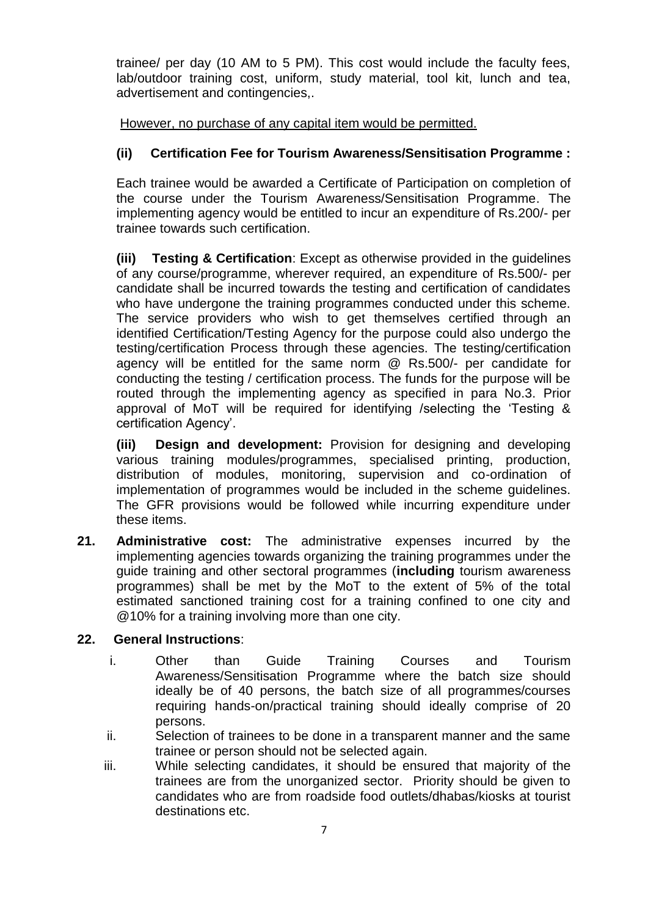trainee/ per day (10 AM to 5 PM). This cost would include the faculty fees, lab/outdoor training cost, uniform, study material, tool kit, lunch and tea, advertisement and contingencies,.

However, no purchase of any capital item would be permitted.

# **(ii) Certification Fee for Tourism Awareness/Sensitisation Programme :**

Each trainee would be awarded a Certificate of Participation on completion of the course under the Tourism Awareness/Sensitisation Programme. The implementing agency would be entitled to incur an expenditure of Rs.200/- per trainee towards such certification.

**(iii) Testing & Certification**: Except as otherwise provided in the guidelines of any course/programme, wherever required, an expenditure of Rs.500/- per candidate shall be incurred towards the testing and certification of candidates who have undergone the training programmes conducted under this scheme. The service providers who wish to get themselves certified through an identified Certification/Testing Agency for the purpose could also undergo the testing/certification Process through these agencies. The testing/certification agency will be entitled for the same norm @ Rs.500/- per candidate for conducting the testing / certification process. The funds for the purpose will be routed through the implementing agency as specified in para No.3. Prior approval of MoT will be required for identifying /selecting the 'Testing & certification Agency'.

**(iii) Design and development:** Provision for designing and developing various training modules/programmes, specialised printing, production, distribution of modules, monitoring, supervision and co-ordination of implementation of programmes would be included in the scheme guidelines. The GFR provisions would be followed while incurring expenditure under these items.

**21. Administrative cost:** The administrative expenses incurred by the implementing agencies towards organizing the training programmes under the guide training and other sectoral programmes (**including** tourism awareness programmes) shall be met by the MoT to the extent of 5% of the total estimated sanctioned training cost for a training confined to one city and @10% for a training involving more than one city.

## **22. General Instructions**:

- i. Other than Guide Training Courses and Tourism Awareness/Sensitisation Programme where the batch size should ideally be of 40 persons, the batch size of all programmes/courses requiring hands-on/practical training should ideally comprise of 20 persons.
- ii. Selection of trainees to be done in a transparent manner and the same trainee or person should not be selected again.
- iii. While selecting candidates, it should be ensured that majority of the trainees are from the unorganized sector. Priority should be given to candidates who are from roadside food outlets/dhabas/kiosks at tourist destinations etc.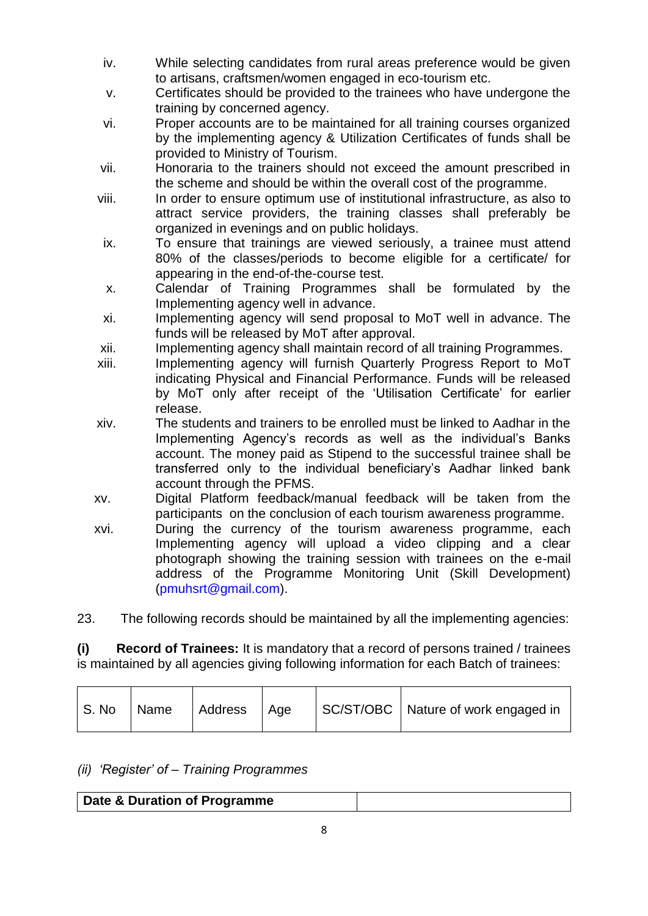- iv. While selecting candidates from rural areas preference would be given to artisans, craftsmen/women engaged in eco-tourism etc.
- v. Certificates should be provided to the trainees who have undergone the training by concerned agency.
- vi. Proper accounts are to be maintained for all training courses organized by the implementing agency & Utilization Certificates of funds shall be provided to Ministry of Tourism.
- vii. Honoraria to the trainers should not exceed the amount prescribed in the scheme and should be within the overall cost of the programme.
- viii. In order to ensure optimum use of institutional infrastructure, as also to attract service providers, the training classes shall preferably be organized in evenings and on public holidays.
- ix. To ensure that trainings are viewed seriously, a trainee must attend 80% of the classes/periods to become eligible for a certificate/ for appearing in the end-of-the-course test.
- x. Calendar of Training Programmes shall be formulated by the Implementing agency well in advance.
- xi. Implementing agency will send proposal to MoT well in advance. The funds will be released by MoT after approval.
- xii. Implementing agency shall maintain record of all training Programmes.
- xiii. Implementing agency will furnish Quarterly Progress Report to MoT indicating Physical and Financial Performance. Funds will be released by MoT only after receipt of the 'Utilisation Certificate' for earlier release.
- xiv. The students and trainers to be enrolled must be linked to Aadhar in the Implementing Agency's records as well as the individual's Banks account. The money paid as Stipend to the successful trainee shall be transferred only to the individual beneficiary's Aadhar linked bank account through the PFMS.
- xv. Digital Platform feedback/manual feedback will be taken from the participants on the conclusion of each tourism awareness programme.
- xvi. During the currency of the tourism awareness programme, each Implementing agency will upload a video clipping and a clear photograph showing the training session with trainees on the e-mail address of the Programme Monitoring Unit (Skill Development) [\(pmuhsrt@gmail.com\)](mailto:pmuhsrt@gmail.com).

23. The following records should be maintained by all the implementing agencies:

**(i) Record of Trainees:** It is mandatory that a record of persons trained / trainees is maintained by all agencies giving following information for each Batch of trainees:

# *(ii) 'Register' of – Training Programmes*

| Date & Duration of Programme |  |
|------------------------------|--|
|------------------------------|--|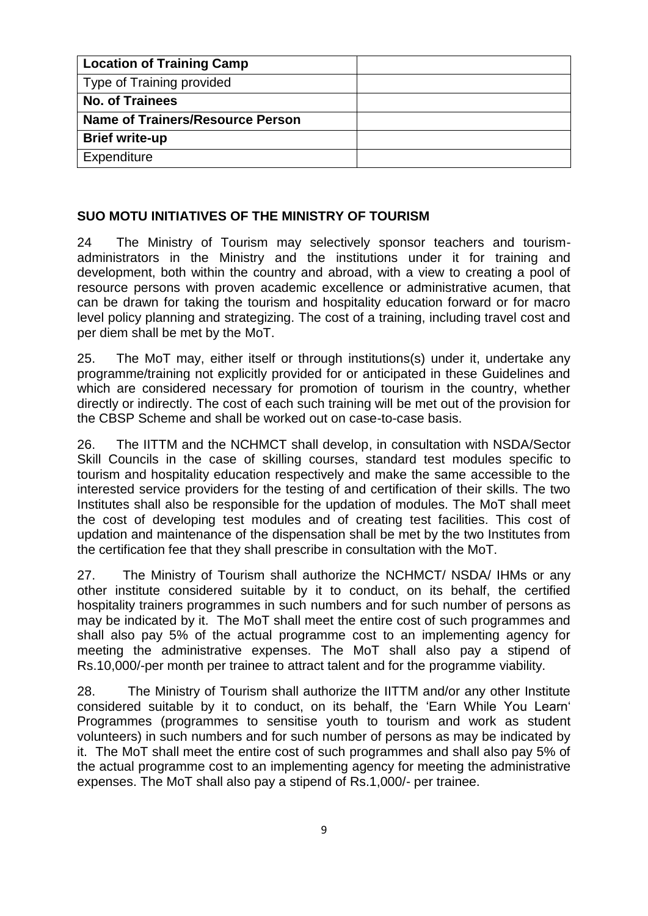| <b>Location of Training Camp</b>        |  |
|-----------------------------------------|--|
| <b>Type of Training provided</b>        |  |
| <b>No. of Trainees</b>                  |  |
| <b>Name of Trainers/Resource Person</b> |  |
| <b>Brief write-up</b>                   |  |
| Expenditure                             |  |

# **SUO MOTU INITIATIVES OF THE MINISTRY OF TOURISM**

24 The Ministry of Tourism may selectively sponsor teachers and tourismadministrators in the Ministry and the institutions under it for training and development, both within the country and abroad, with a view to creating a pool of resource persons with proven academic excellence or administrative acumen, that can be drawn for taking the tourism and hospitality education forward or for macro level policy planning and strategizing. The cost of a training, including travel cost and per diem shall be met by the MoT.

25. The MoT may, either itself or through institutions(s) under it, undertake any programme/training not explicitly provided for or anticipated in these Guidelines and which are considered necessary for promotion of tourism in the country, whether directly or indirectly. The cost of each such training will be met out of the provision for the CBSP Scheme and shall be worked out on case-to-case basis.

26. The IITTM and the NCHMCT shall develop, in consultation with NSDA/Sector Skill Councils in the case of skilling courses, standard test modules specific to tourism and hospitality education respectively and make the same accessible to the interested service providers for the testing of and certification of their skills. The two Institutes shall also be responsible for the updation of modules. The MoT shall meet the cost of developing test modules and of creating test facilities. This cost of updation and maintenance of the dispensation shall be met by the two Institutes from the certification fee that they shall prescribe in consultation with the MoT.

27. The Ministry of Tourism shall authorize the NCHMCT/ NSDA/ IHMs or any other institute considered suitable by it to conduct, on its behalf, the certified hospitality trainers programmes in such numbers and for such number of persons as may be indicated by it. The MoT shall meet the entire cost of such programmes and shall also pay 5% of the actual programme cost to an implementing agency for meeting the administrative expenses. The MoT shall also pay a stipend of Rs.10,000/-per month per trainee to attract talent and for the programme viability.

28. The Ministry of Tourism shall authorize the IITTM and/or any other Institute considered suitable by it to conduct, on its behalf, the 'Earn While You Learn' Programmes (programmes to sensitise youth to tourism and work as student volunteers) in such numbers and for such number of persons as may be indicated by it. The MoT shall meet the entire cost of such programmes and shall also pay 5% of the actual programme cost to an implementing agency for meeting the administrative expenses. The MoT shall also pay a stipend of Rs.1,000/- per trainee.